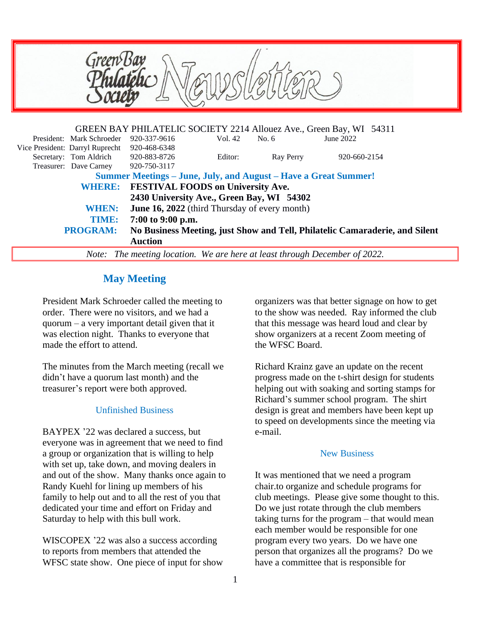

 **TIME: 7:00 to 9:00 p.m.**

**PROGRAM: No Business Meeting, just Show and Tell, Philatelic Camaraderie, and Silent Auction**

*Note: The meeting location. We are here at least through December of 2022.*

# **May Meeting**

President Mark Schroeder called the meeting to order. There were no visitors, and we had a quorum – a very important detail given that it was election night. Thanks to everyone that made the effort to attend.

The minutes from the March meeting (recall we didn't have a quorum last month) and the treasurer's report were both approved.

### Unfinished Business

BAYPEX '22 was declared a success, but everyone was in agreement that we need to find a group or organization that is willing to help with set up, take down, and moving dealers in and out of the show. Many thanks once again to Randy Kuehl for lining up members of his family to help out and to all the rest of you that dedicated your time and effort on Friday and Saturday to help with this bull work.

WISCOPEX '22 was also a success according to reports from members that attended the WFSC state show. One piece of input for show organizers was that better signage on how to get to the show was needed. Ray informed the club that this message was heard loud and clear by show organizers at a recent Zoom meeting of the WFSC Board.

Richard Krainz gave an update on the recent progress made on the t-shirt design for students helping out with soaking and sorting stamps for Richard's summer school program. The shirt design is great and members have been kept up to speed on developments since the meeting via e-mail.

### New Business

It was mentioned that we need a program chair.to organize and schedule programs for club meetings. Please give some thought to this. Do we just rotate through the club members taking turns for the program – that would mean each member would be responsible for one program every two years. Do we have one person that organizes all the programs? Do we have a committee that is responsible for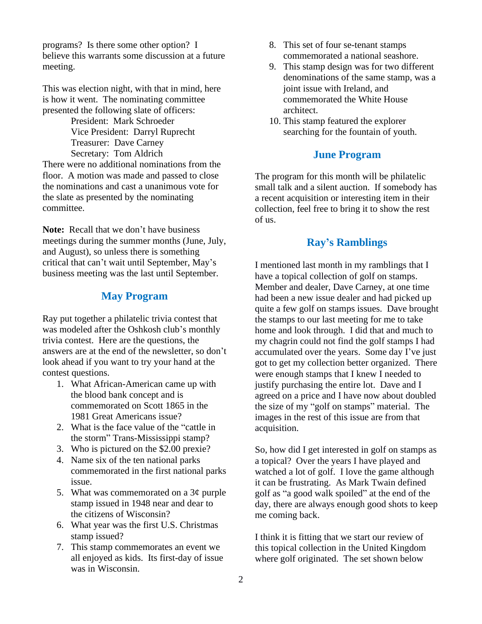programs? Is there some other option? I believe this warrants some discussion at a future meeting.

This was election night, with that in mind, here is how it went. The nominating committee presented the following slate of officers:

> President: Mark Schroeder Vice President: Darryl Ruprecht Treasurer: Dave Carney Secretary: Tom Aldrich

There were no additional nominations from the floor. A motion was made and passed to close the nominations and cast a unanimous vote for the slate as presented by the nominating committee.

**Note:** Recall that we don't have business meetings during the summer months (June, July, and August), so unless there is something critical that can't wait until September, May's business meeting was the last until September.

### **May Program**

Ray put together a philatelic trivia contest that was modeled after the Oshkosh club's monthly trivia contest. Here are the questions, the answers are at the end of the newsletter, so don't look ahead if you want to try your hand at the contest questions.

- 1. What African-American came up with the blood bank concept and is commemorated on Scott 1865 in the 1981 Great Americans issue?
- 2. What is the face value of the "cattle in the storm" Trans-Mississippi stamp?
- 3. Who is pictured on the \$2.00 prexie?
- 4. Name six of the ten national parks commemorated in the first national parks issue.
- 5. What was commemorated on a  $3¢$  purple stamp issued in 1948 near and dear to the citizens of Wisconsin?
- 6. What year was the first U.S. Christmas stamp issued?
- 7. This stamp commemorates an event we all enjoyed as kids. Its first-day of issue was in Wisconsin.
- 8. This set of four se-tenant stamps commemorated a national seashore.
- 9. This stamp design was for two different denominations of the same stamp, was a joint issue with Ireland, and commemorated the White House architect.
- 10. This stamp featured the explorer searching for the fountain of youth.

#### **June Program**

The program for this month will be philatelic small talk and a silent auction. If somebody has a recent acquisition or interesting item in their collection, feel free to bring it to show the rest of us.

## **Ray's Ramblings**

I mentioned last month in my ramblings that I have a topical collection of golf on stamps. Member and dealer, Dave Carney, at one time had been a new issue dealer and had picked up quite a few golf on stamps issues. Dave brought the stamps to our last meeting for me to take home and look through. I did that and much to my chagrin could not find the golf stamps I had accumulated over the years. Some day I've just got to get my collection better organized. There were enough stamps that I knew I needed to justify purchasing the entire lot. Dave and I agreed on a price and I have now about doubled the size of my "golf on stamps" material. The images in the rest of this issue are from that acquisition.

So, how did I get interested in golf on stamps as a topical? Over the years I have played and watched a lot of golf. I love the game although it can be frustrating. As Mark Twain defined golf as "a good walk spoiled" at the end of the day, there are always enough good shots to keep me coming back.

I think it is fitting that we start our review of this topical collection in the United Kingdom where golf originated. The set shown below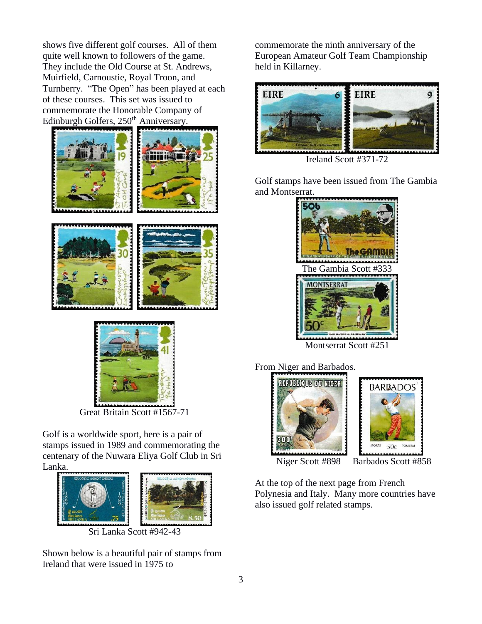shows five different golf courses. All of them quite well known to followers of the game. They include the Old Course at St. Andrews, Muirfield, Carnoustie, Royal Troon, and Turnberry. "The Open" has been played at each of these courses. This set was issued to commemorate the Honorable Company of Edinburgh Golfers, 250<sup>th</sup> Anniversary.





Great Britain Scott #1567-71

Golf is a worldwide sport, here is a pair of stamps issued in 1989 and commemorating the centenary of the Nuwara Eliya Golf Club in Sri Lanka.



Shown below is a beautiful pair of stamps from Ireland that were issued in 1975 to

commemorate the ninth anniversary of the European Amateur Golf Team Championship held in Killarney.



Ireland Scott #371-72

Golf stamps have been issued from The Gambia and Montserrat.







Niger Scott #898 Barbados Scott #858

At the top of the next page from French Polynesia and Italy. Many more countries have also issued golf related stamps.